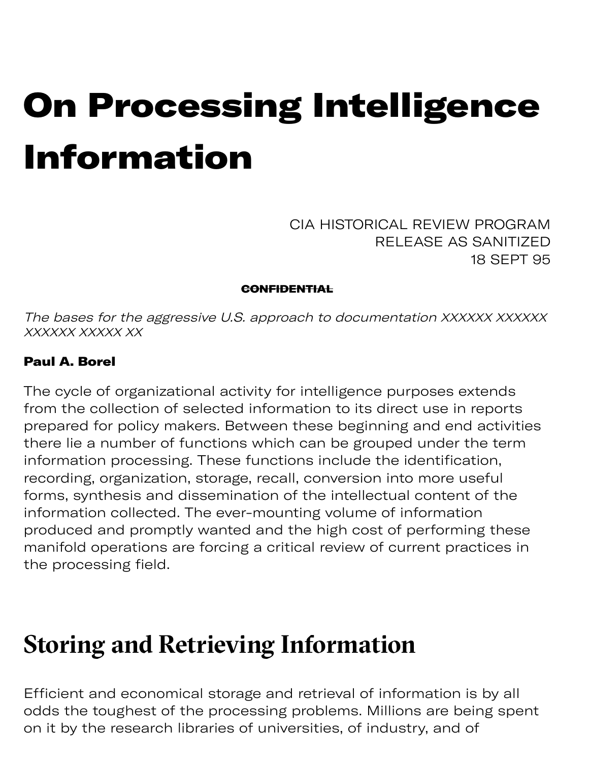# On Processing Intelligence Information

CIA HISTORICAL REVIEW PROGRAM RELEASE AS SANITIZED 18 SEPT 95

**CONFIDENTIAL** 

The bases for the aggressive U.S. approach to documentation XXXXXX XXXXXX XXXXXX XXXXX XX

#### Paul A. Borel

The cycle of organizational activity for intelligence purposes extends from the collection of selected information to its direct use in reports prepared for policy makers. Between these beginning and end activities there lie a number of functions which can be grouped under the term information processing. These functions include the identification, recording, organization, storage, recall, conversion into more useful forms, synthesis and dissemination of the intellectual content of the information collected. The ever-mounting volume of information produced and promptly wanted and the high cost of performing these manifold operations are forcing a critical review of current practices in the processing field.

#### **Storing and Retrieving Information**

Efficient and economical storage and retrieval of information is by all odds the toughest of the processing problems. Millions are being spent on it by the research libraries of universities, of industry, and of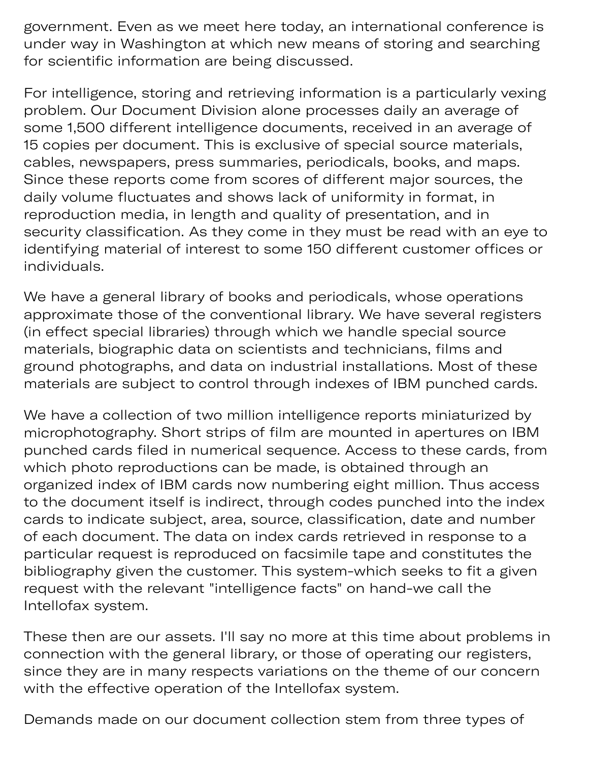government. Even as we meet here today, an international conference is under way in Washington at which new means of storing and searching for scientific information are being discussed.

For intelligence, storing and retrieving information is a particularly vexing problem. Our Document Division alone processes daily an average of some 1,500 different intelligence documents, received in an average of 15 copies per document. This is exclusive of special source materials, cables, newspapers, press summaries, periodicals, books, and maps. Since these reports come from scores of different major sources, the daily volume fluctuates and shows lack of uniformity in format, in reproduction media, in length and quality of presentation, and in security classification. As they come in they must be read with an eye to identifying material of interest to some 150 different customer offices or individuals.

We have a general library of books and periodicals, whose operations approximate those of the conventional library. We have several registers (in effect special libraries) through which we handle special source materials, biographic data on scientists and technicians, films and ground photographs, and data on industrial installations. Most of these materials are subject to control through indexes of IBM punched cards.

We have a collection of two million intelligence reports miniaturized by microphotography. Short strips of film are mounted in apertures on IBM punched cards filed in numerical sequence. Access to these cards, from which photo reproductions can be made, is obtained through an organized index of IBM cards now numbering eight million. Thus access to the document itself is indirect, through codes punched into the index cards to indicate subject, area, source, classification, date and number of each document. The data on index cards retrieved in response to a particular request is reproduced on facsimile tape and constitutes the bibliography given the customer. This system-which seeks to fit a given request with the relevant "intelligence facts" on hand-we call the Intellofax system.

These then are our assets. I'll say no more at this time about problems in connection with the general library, or those of operating our registers, since they are in many respects variations on the theme of our concern with the effective operation of the Intellofax system.

Demands made on our document collection stem from three types of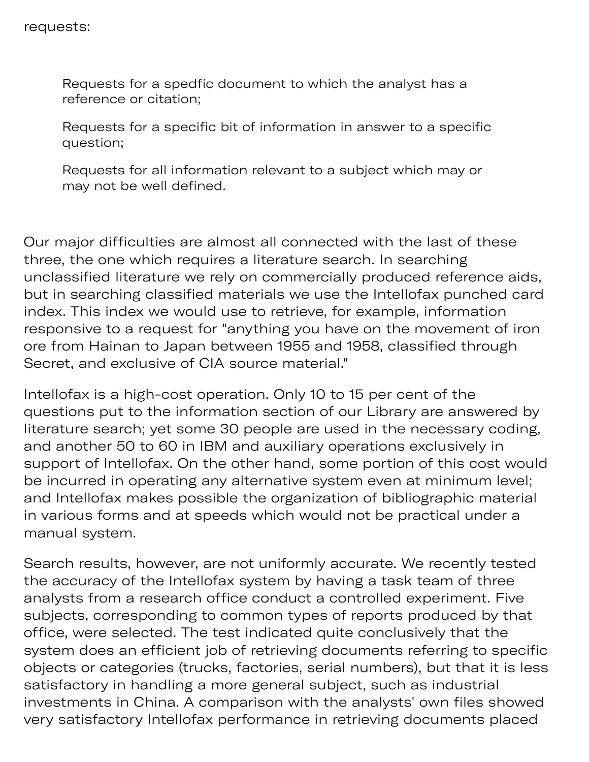Requests for a spedfic document to which the analyst has a reference or citation;

Requests for a specific bit of information in answer to a specific question;

Requests for all information relevant to a subject which may or may not be well defined.

Our major difficulties are almost all connected with the last of these three, the one which requires a literature search. In searching unclassified literature we rely on commercially produced reference aids, but in searching classified materials we use the Intellofax punched card index. This index we would use to retrieve, for example, information responsive to a request for "anything you have on the movement of iron ore from Hainan to Japan between 1955 and 1958, classified through Secret, and exclusive of CIA source material."

Intellofax is a high-cost operation. Only 10 to 15 per cent of the questions put to the information section of our Library are answered by literature search; yet some 30 people are used in the necessary coding, and another 50 to 60 in IBM and auxiliary operations exclusively in support of Intellofax. On the other hand, some portion of this cost would be incurred in operating any alternative system even at minimum level; and Intellofax makes possible the organization of bibliographic material in various forms and at speeds which would not be practical under a manual system.

Search results, however, are not uniformly accurate. We recently tested the accuracy of the Intellofax system by having a task team of three analysts from a research office conduct a controlled experiment. Five subjects, corresponding to common types of reports produced by that office, were selected. The test indicated quite conclusively that the system does an efficient job of retrieving documents referring to specific objects or categories (trucks, factories, serial numbers), but that it is less satisfactory in handling a more general subject, such as industrial investments in China. A comparison with the analysts' own files showed very satisfactory Intellofax performance in retrieving documents placed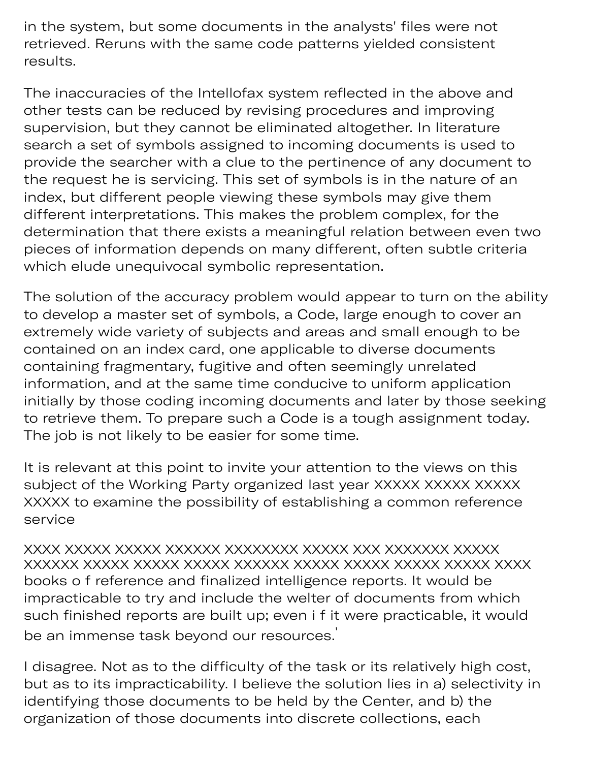in the system, but some documents in the analysts' files were not retrieved. Reruns with the same code patterns yielded consistent results.

The inaccuracies of the Intellofax system reflected in the above and other tests can be reduced by revising procedures and improving supervision, but they cannot be eliminated altogether. In literature search a set of symbols assigned to incoming documents is used to provide the searcher with a clue to the pertinence of any document to the request he is servicing. This set of symbols is in the nature of an index, but different people viewing these symbols may give them different interpretations. This makes the problem complex, for the determination that there exists a meaningful relation between even two pieces of information depends on many different, often subtle criteria which elude unequivocal symbolic representation.

The solution of the accuracy problem would appear to turn on the ability to develop a master set of symbols, a Code, large enough to cover an extremely wide variety of subjects and areas and small enough to be contained on an index card, one applicable to diverse documents containing fragmentary, fugitive and often seemingly unrelated information, and at the same time conducive to uniform application initially by those coding incoming documents and later by those seeking to retrieve them. To prepare such a Code is a tough assignment today. The job is not likely to be easier for some time.

It is relevant at this point to invite your attention to the views on this subject of the Working Party organized last year XXXXX XXXXX XXXXX XXXXX to examine the possibility of establishing a common reference service

XXXX XXXXX XXXXX XXXXXX XXXXXXXX XXXXX XXX XXXXXXX XXXXX XXXXXX XXXXX XXXXX XXXXX XXXXXX XXXXX XXXXX XXXXX XXXXX XXXX books o f reference and finalized intelligence reports. It would be impracticable to try and include the welter of documents from which such finished reports are built up; even i f it were practicable, it would be an immense task beyond our resources. '

I disagree. Not as to the difficulty of the task or its relatively high cost, but as to its impracticability. I believe the solution lies in a) selectivity in identifying those documents to be held by the Center, and b) the organization of those documents into discrete collections, each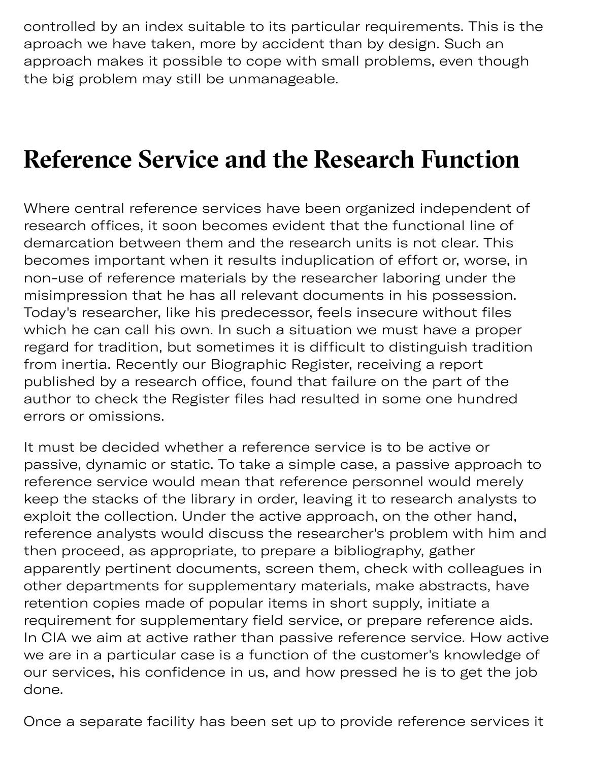controlled by an index suitable to its particular requirements. This is the aproach we have taken, more by accident than by design. Such an approach makes it possible to cope with small problems, even though the big problem may still be unmanageable.

### **Reference Service and the Research Function**

Where central reference services have been organized independent of research offices, it soon becomes evident that the functional line of demarcation between them and the research units is not clear. This becomes important when it results induplication of effort or, worse, in non-use of reference materials by the researcher laboring under the misimpression that he has all relevant documents in his possession. Today's researcher, like his predecessor, feels insecure without files which he can call his own. In such a situation we must have a proper regard for tradition, but sometimes it is difficult to distinguish tradition from inertia. Recently our Biographic Register, receiving a report published by a research office, found that failure on the part of the author to check the Register files had resulted in some one hundred errors or omissions.

It must be decided whether a reference service is to be active or passive, dynamic or static. To take a simple case, a passive approach to reference service would mean that reference personnel would merely keep the stacks of the library in order, leaving it to research analysts to exploit the collection. Under the active approach, on the other hand, reference analysts would discuss the researcher's problem with him and then proceed, as appropriate, to prepare a bibliography, gather apparently pertinent documents, screen them, check with colleagues in other departments for supplementary materials, make abstracts, have retention copies made of popular items in short supply, initiate a requirement for supplementary field service, or prepare reference aids. In CIA we aim at active rather than passive reference service. How active we are in a particular case is a function of the customer's knowledge of our services, his confidence in us, and how pressed he is to get the job done.

Once a separate facility has been set up to provide reference services it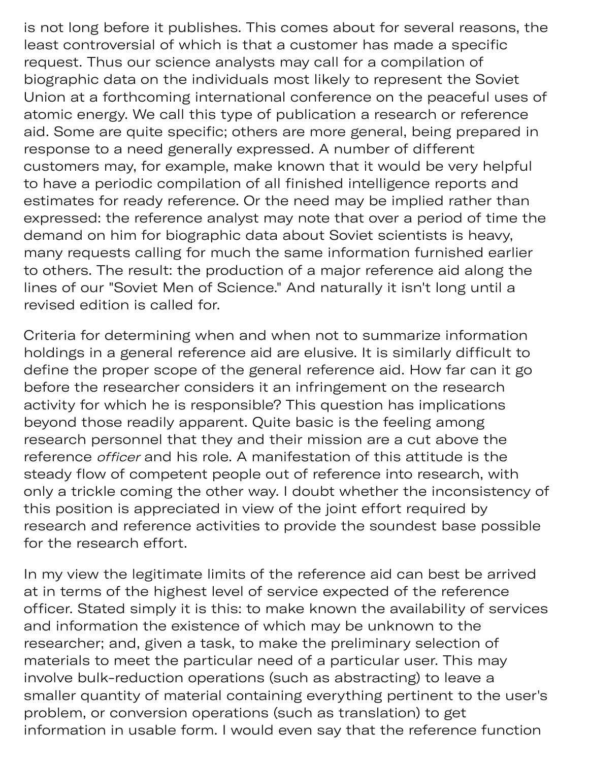is not long before it publishes. This comes about for several reasons, the least controversial of which is that a customer has made a specific request. Thus our science analysts may call for a compilation of biographic data on the individuals most likely to represent the Soviet Union at a forthcoming international conference on the peaceful uses of atomic energy. We call this type of publication a research or reference aid. Some are quite specific; others are more general, being prepared in response to a need generally expressed. A number of different customers may, for example, make known that it would be very helpful to have a periodic compilation of all finished intelligence reports and estimates for ready reference. Or the need may be implied rather than expressed: the reference analyst may note that over a period of time the demand on him for biographic data about Soviet scientists is heavy, many requests calling for much the same information furnished earlier to others. The result: the production of a major reference aid along the lines of our "Soviet Men of Science." And naturally it isn't long until a revised edition is called for.

ep y has b t up to provide the problem of the problem of the problem of the problem of the problem of the problem of the problem of the problem of the problem of the problem of the problem of the problem of the problem of

Criteria for determining when and when not to summarize information holdings in a general reference aid are elusive. It is similarly difficult to define the proper scope of the general reference aid. How far can it go before the researcher considers it an infringement on the research activity for which he is responsible? This question has implications beyond those readily apparent. Quite basic is the feeling among research personnel that they and their mission are a cut above the reference officer and his role. A manifestation of this attitude is the steady flow of competent people out of reference into research, with only a trickle coming the other way. I doubt whether the inconsistency of this position is appreciated in view of the joint effort required by research and reference activities to provide the soundest base possible for the research effort.

In my view the legitimate limits of the reference aid can best be arrived at in terms of the highest level of service expected of the reference officer. Stated simply it is this: to make known the availability of services and information the existence of which may be unknown to the researcher; and, given a task, to make the preliminary selection of materials to meet the particular need of a particular user. This may involve bulk-reduction operations (such as abstracting) to leave a smaller quantity of material containing everything pertinent to the user's problem, or conversion operations (such as translation) to get information in usable form. I would even say that the reference function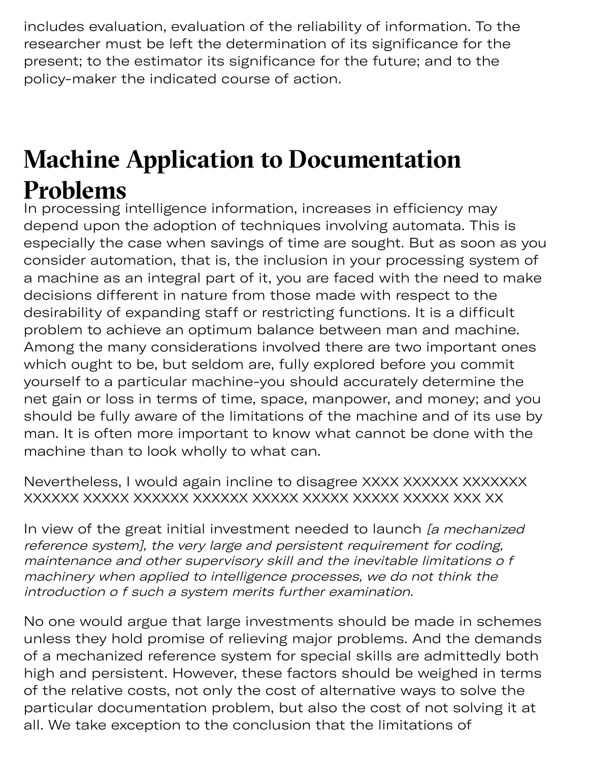includes evaluation, evaluation of the reliability of information. To the researcher must be left the determination of its significance for the present; to the estimator its significance for the future; and to the policy-maker the indicated course of action.

## **Machine Application to Documentation Problems**

In processing intelligence information, increases in efficiency may depend upon the adoption of techniques involving automata. This is especially the case when savings of time are sought. But as soon as you consider automation, that is, the inclusion in your processing system of a machine as an integral part of it, you are faced with the need to make decisions different in nature from those made with respect to the desirability of expanding staff or restricting functions. It is a difficult problem to achieve an optimum balance between man and machine. Among the many considerations involved there are two important ones which ought to be, but seldom are, fully explored before you commit yourself to a particular machine-you should accurately determine the net gain or loss in terms of time, space, manpower, and money; and you should be fully aware of the limitations of the machine and of its use by man. It is often more important to know what cannot be done with the machine than to look wholly to what can.

Nevertheless, I would again incline to disagree XXXX XXXXXX XXXXXXXX XXXXXX XXXXX XXXXXX XXXXXX XXXXX XXXXX XXXXX XXXXX XXX XX

In view of the great initial investment needed to launch [a mechanized] reference system], the very large and persistent requirement for coding, maintenance and other supervisory skill and the inevitable limitations o f machinery when applied to intelligence processes, we do not think the introduction o f such a system merits further examination.

No one would argue that large investments should be made in schemes unless they hold promise of relieving major problems. And the demands of a mechanized reference system for special skills are admittedly both high and persistent. However, these factors should be weighed in terms of the relative costs, not only the cost of alternative ways to solve the particular documentation problem, but also the cost of not solving it at all. We take exception to the conclusion that the limitations of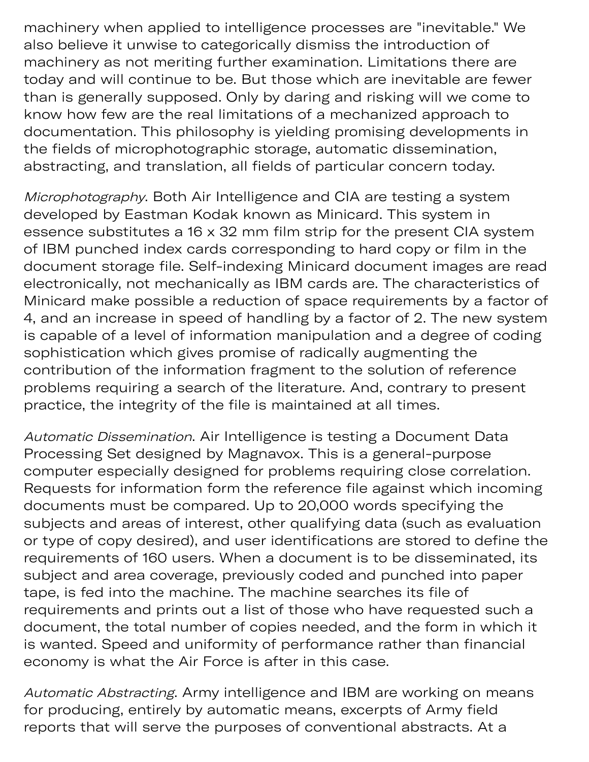machinery when applied to intelligence processes are "inevitable." We also believe it unwise to categorically dismiss the introduction of machinery as not meriting further examination. Limitations there are today and will continue to be. But those which are inevitable are fewer than is generally supposed. Only by daring and risking will we come to know how few are the real limitations of a mechanized approach to documentation. This philosophy is yielding promising developments in the fields of microphotographic storage, automatic dissemination, abstracting, and translation, all fields of particular concern today.

ep

Microphotography. Both Air Intelligence and CIA are testing a system developed by Eastman Kodak known as Minicard. This system in essence substitutes a 16 x 32 mm film strip for the present CIA system of IBM punched index cards corresponding to hard copy or film in the document storage file. Self-indexing Minicard document images are read electronically, not mechanically as IBM cards are. The characteristics of Minicard make possible a reduction of space requirements by a factor of 4, and an increase in speed of handling by a factor of 2. The new system is capable of a level of information manipulation and a degree of coding sophistication which gives promise of radically augmenting the contribution of the information fragment to the solution of reference problems requiring a search of the literature. And, contrary to present practice, the integrity of the file is maintained at all times.

Automatic Dissemination. Air Intelligence is testing a Document Data Processing Set designed by Magnavox. This is a general-purpose computer especially designed for problems requiring close correlation. Requests for information form the reference file against which incoming documents must be compared. Up to 20,000 words specifying the subjects and areas of interest, other qualifying data (such as evaluation or type of copy desired), and user identifications are stored to define the requirements of 160 users. When a document is to be disseminated, its subject and area coverage, previously coded and punched into paper tape, is fed into the machine. The machine searches its file of requirements and prints out a list of those who have requested such a document, the total number of copies needed, and the form in which it is wanted. Speed and uniformity of performance rather than financial economy is what the Air Force is after in this case.

Automatic Abstracting. Army intelligence and IBM are working on means for producing, entirely by automatic means, excerpts of Army field reports that will serve the purposes of conventional abstracts. At a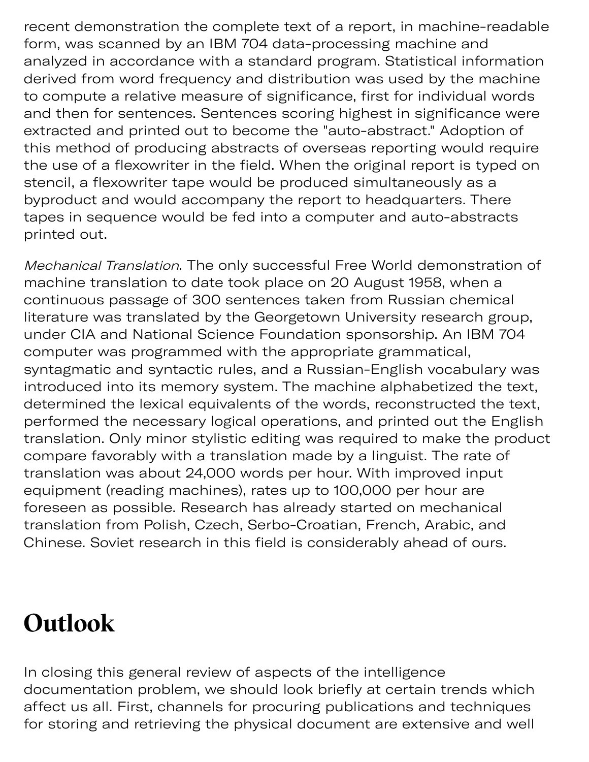recent demonstration the complete text of a report, in machine-readable form, was scanned by an IBM 704 data-processing machine and analyzed in accordance with a standard program. Statistical information derived from word frequency and distribution was used by the machine to compute a relative measure of significance, first for individual words and then for sentences. Sentences scoring highest in significance were extracted and printed out to become the "auto-abstract." Adoption of this method of producing abstracts of overseas reporting would require the use of a flexowriter in the field. When the original report is typed on stencil, a flexowriter tape would be produced simultaneously as a byproduct and would accompany the report to headquarters. There tapes in sequence would be fed into a computer and auto-abstracts printed out.

Mechanical Translation. The only successful Free World demonstration of machine translation to date took place on 20 August 1958, when a continuous passage of 300 sentences taken from Russian chemical literature was translated by the Georgetown University research group, under CIA and National Science Foundation sponsorship. An IBM 704 computer was programmed with the appropriate grammatical, syntagmatic and syntactic rules, and a Russian-English vocabulary was introduced into its memory system. The machine alphabetized the text, determined the lexical equivalents of the words, reconstructed the text, performed the necessary logical operations, and printed out the English translation. Only minor stylistic editing was required to make the product compare favorably with a translation made by a linguist. The rate of translation was about 24,000 words per hour. With improved input equipment (reading machines), rates up to 100,000 per hour are foreseen as possible. Research has already started on mechanical translation from Polish, Czech, Serbo-Croatian, French, Arabic, and Chinese. Soviet research in this field is considerably ahead of ours.

### **Outlook**

In closing this general review of aspects of the intelligence documentation problem, we should look briefly at certain trends which affect us all. First, channels for procuring publications and techniques for storing and retrieving the physical document are extensive and well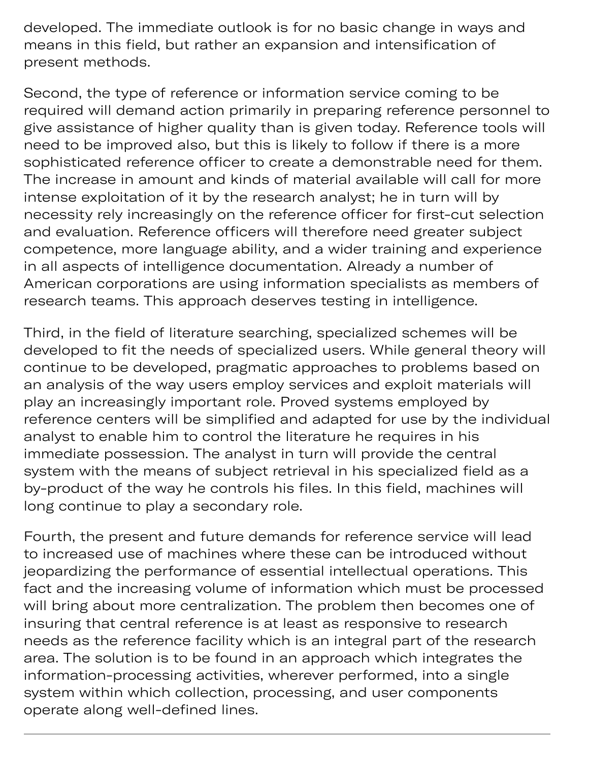oring a ving the phy developed. The immediate outlook is for no basic change in ways and means in this field, but rather an expansion and intensification of present methods.

Second, the type of reference or information service coming to be required will demand action primarily in preparing reference personnel to give assistance of higher quality than is given today. Reference tools will need to be improved also, but this is likely to follow if there is a more sophisticated reference officer to create a demonstrable need for them. The increase in amount and kinds of material available will call for more intense exploitation of it by the research analyst; he in turn will by necessity rely increasingly on the reference officer for first-cut selection and evaluation. Reference officers will therefore need greater subject competence, more language ability, and a wider training and experience in all aspects of intelligence documentation. Already a number of American corporations are using information specialists as members of research teams. This approach deserves testing in intelligence.

Third, in the field of literature searching, specialized schemes will be developed to fit the needs of specialized users. While general theory will continue to be developed, pragmatic approaches to problems based on an analysis of the way users employ services and exploit materials will play an increasingly important role. Proved systems employed by reference centers will be simplified and adapted for use by the individual analyst to enable him to control the literature he requires in his immediate possession. The analyst in turn will provide the central system with the means of subject retrieval in his specialized field as a by-product of the way he controls his files. In this field, machines will long continue to play a secondary role.

Fourth, the present and future demands for reference service will lead to increased use of machines where these can be introduced without jeopardizing the performance of essential intellectual operations. This fact and the increasing volume of information which must be processed will bring about more centralization. The problem then becomes one of insuring that central reference is at least as responsive to research needs as the reference facility which is an integral part of the research area. The solution is to be found in an approach which integrates the information-processing activities, wherever performed, into a single system within which collection, processing, and user components operate along well-defined lines.